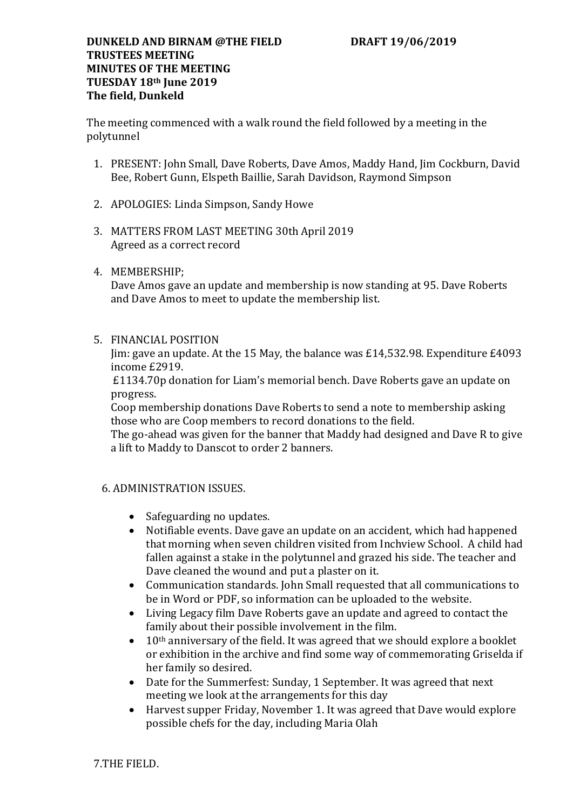## **DUNKELD AND BIRNAM @THE FIELD DRAFT 19/06/2019 TRUSTEES MEETING MINUTES OF THE MEETING TUESDAY 18th June 2019 The field, Dunkeld**

The meeting commenced with a walk round the field followed by a meeting in the polytunnel

- 1. PRESENT: John Small, Dave Roberts, Dave Amos, Maddy Hand, Jim Cockburn, David Bee, Robert Gunn, Elspeth Baillie, Sarah Davidson, Raymond Simpson
- 2. APOLOGIES: Linda Simpson, Sandy Howe
- 3. MATTERS FROM LAST MEETING 30th April 2019 Agreed as a correct record
- 4. MEMBERSHIP;

Dave Amos gave an update and membership is now standing at 95. Dave Roberts and Dave Amos to meet to update the membership list.

5. FINANCIAL POSITION

Jim: gave an update. At the 15 May, the balance was £14,532.98. Expenditure £4093 income £2919.

£1134.70p donation for Liam's memorial bench. Dave Roberts gave an update on progress.

Coop membership donations Dave Roberts to send a note to membership asking those who are Coop members to record donations to the field.

The go-ahead was given for the banner that Maddy had designed and Dave R to give a lift to Maddy to Danscot to order 2 banners.

## 6. ADMINISTRATION ISSUES.

- Safeguarding no updates.
- Notifiable events. Dave gave an update on an accident, which had happened that morning when seven children visited from Inchview School. A child had fallen against a stake in the polytunnel and grazed his side. The teacher and Dave cleaned the wound and put a plaster on it.
- Communication standards. John Small requested that all communications to be in Word or PDF, so information can be uploaded to the website.
- Living Legacy film Dave Roberts gave an update and agreed to contact the family about their possible involvement in the film.
- $\bullet$  10<sup>th</sup> anniversary of the field. It was agreed that we should explore a booklet or exhibition in the archive and find some way of commemorating Griselda if her family so desired.
- Date for the Summerfest: Sunday, 1 September. It was agreed that next meeting we look at the arrangements for this day
- Harvest supper Friday, November 1. It was agreed that Dave would explore possible chefs for the day, including Maria Olah